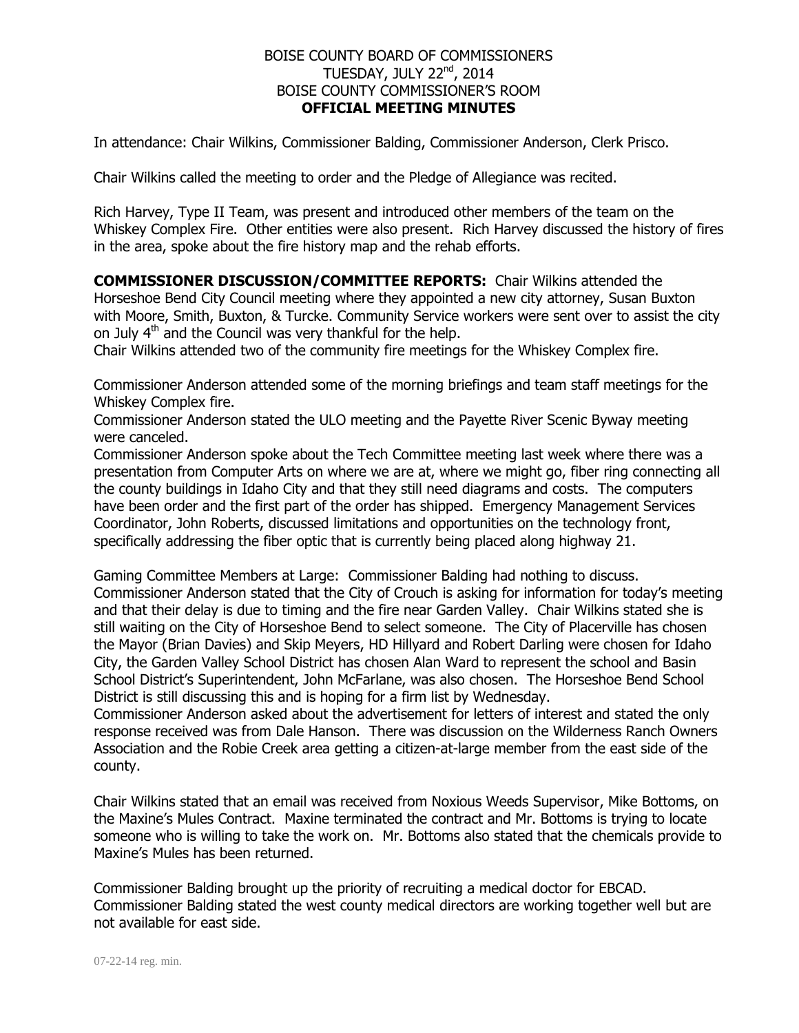## BOISE COUNTY BOARD OF COMMISSIONERS TUESDAY, JULY 22nd, 2014 BOISE COUNTY COMMISSIONER'S ROOM **OFFICIAL MEETING MINUTES**

In attendance: Chair Wilkins, Commissioner Balding, Commissioner Anderson, Clerk Prisco.

Chair Wilkins called the meeting to order and the Pledge of Allegiance was recited.

Rich Harvey, Type II Team, was present and introduced other members of the team on the Whiskey Complex Fire. Other entities were also present. Rich Harvey discussed the history of fires in the area, spoke about the fire history map and the rehab efforts.

**COMMISSIONER DISCUSSION/COMMITTEE REPORTS:** Chair Wilkins attended the Horseshoe Bend City Council meeting where they appointed a new city attorney, Susan Buxton with Moore, Smith, Buxton, & Turcke. Community Service workers were sent over to assist the city on July  $4<sup>th</sup>$  and the Council was very thankful for the help.

Chair Wilkins attended two of the community fire meetings for the Whiskey Complex fire.

Commissioner Anderson attended some of the morning briefings and team staff meetings for the Whiskey Complex fire.

Commissioner Anderson stated the ULO meeting and the Payette River Scenic Byway meeting were canceled.

Commissioner Anderson spoke about the Tech Committee meeting last week where there was a presentation from Computer Arts on where we are at, where we might go, fiber ring connecting all the county buildings in Idaho City and that they still need diagrams and costs. The computers have been order and the first part of the order has shipped. Emergency Management Services Coordinator, John Roberts, discussed limitations and opportunities on the technology front, specifically addressing the fiber optic that is currently being placed along highway 21.

Gaming Committee Members at Large: Commissioner Balding had nothing to discuss. Commissioner Anderson stated that the City of Crouch is asking for information for today's meeting and that their delay is due to timing and the fire near Garden Valley. Chair Wilkins stated she is still waiting on the City of Horseshoe Bend to select someone. The City of Placerville has chosen the Mayor (Brian Davies) and Skip Meyers, HD Hillyard and Robert Darling were chosen for Idaho City, the Garden Valley School District has chosen Alan Ward to represent the school and Basin School District's Superintendent, John McFarlane, was also chosen. The Horseshoe Bend School District is still discussing this and is hoping for a firm list by Wednesday.

Commissioner Anderson asked about the advertisement for letters of interest and stated the only response received was from Dale Hanson. There was discussion on the Wilderness Ranch Owners Association and the Robie Creek area getting a citizen-at-large member from the east side of the county.

Chair Wilkins stated that an email was received from Noxious Weeds Supervisor, Mike Bottoms, on the Maxine's Mules Contract. Maxine terminated the contract and Mr. Bottoms is trying to locate someone who is willing to take the work on. Mr. Bottoms also stated that the chemicals provide to Maxine's Mules has been returned.

Commissioner Balding brought up the priority of recruiting a medical doctor for EBCAD. Commissioner Balding stated the west county medical directors are working together well but are not available for east side.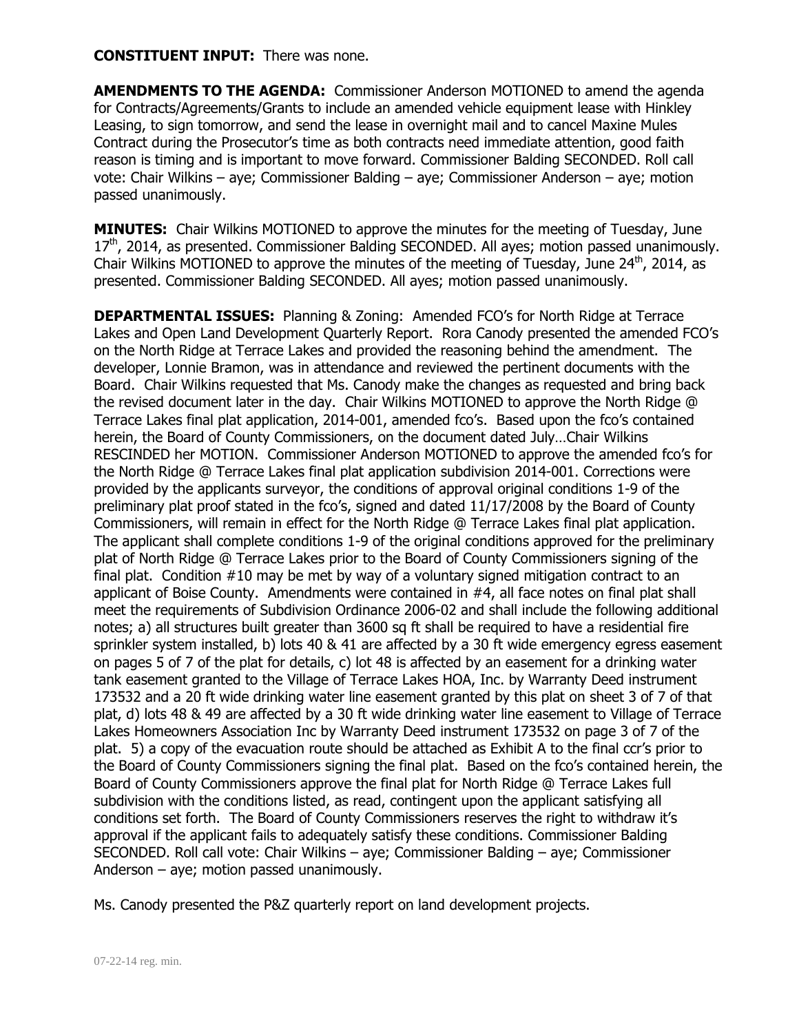## **CONSTITUENT INPUT:** There was none.

**AMENDMENTS TO THE AGENDA:** Commissioner Anderson MOTIONED to amend the agenda for Contracts/Agreements/Grants to include an amended vehicle equipment lease with Hinkley Leasing, to sign tomorrow, and send the lease in overnight mail and to cancel Maxine Mules Contract during the Prosecutor's time as both contracts need immediate attention, good faith reason is timing and is important to move forward. Commissioner Balding SECONDED. Roll call vote: Chair Wilkins – aye; Commissioner Balding – aye; Commissioner Anderson – aye; motion passed unanimously.

**MINUTES:** Chair Wilkins MOTIONED to approve the minutes for the meeting of Tuesday, June  $17<sup>th</sup>$ , 2014, as presented. Commissioner Balding SECONDED. All ayes; motion passed unanimously. Chair Wilkins MOTIONED to approve the minutes of the meeting of Tuesday, June  $24<sup>th</sup>$ , 2014, as presented. Commissioner Balding SECONDED. All ayes; motion passed unanimously.

**DEPARTMENTAL ISSUES:** Planning & Zoning: Amended FCO's for North Ridge at Terrace Lakes and Open Land Development Quarterly Report. Rora Canody presented the amended FCO's on the North Ridge at Terrace Lakes and provided the reasoning behind the amendment. The developer, Lonnie Bramon, was in attendance and reviewed the pertinent documents with the Board. Chair Wilkins requested that Ms. Canody make the changes as requested and bring back the revised document later in the day. Chair Wilkins MOTIONED to approve the North Ridge @ Terrace Lakes final plat application, 2014-001, amended fco's. Based upon the fco's contained herein, the Board of County Commissioners, on the document dated July…Chair Wilkins RESCINDED her MOTION. Commissioner Anderson MOTIONED to approve the amended fco's for the North Ridge @ Terrace Lakes final plat application subdivision 2014-001. Corrections were provided by the applicants surveyor, the conditions of approval original conditions 1-9 of the preliminary plat proof stated in the fco's, signed and dated 11/17/2008 by the Board of County Commissioners, will remain in effect for the North Ridge @ Terrace Lakes final plat application. The applicant shall complete conditions 1-9 of the original conditions approved for the preliminary plat of North Ridge @ Terrace Lakes prior to the Board of County Commissioners signing of the final plat. Condition #10 may be met by way of a voluntary signed mitigation contract to an applicant of Boise County. Amendments were contained in #4, all face notes on final plat shall meet the requirements of Subdivision Ordinance 2006-02 and shall include the following additional notes; a) all structures built greater than 3600 sq ft shall be required to have a residential fire sprinkler system installed, b) lots 40 & 41 are affected by a 30 ft wide emergency egress easement on pages 5 of 7 of the plat for details, c) lot 48 is affected by an easement for a drinking water tank easement granted to the Village of Terrace Lakes HOA, Inc. by Warranty Deed instrument 173532 and a 20 ft wide drinking water line easement granted by this plat on sheet 3 of 7 of that plat, d) lots 48 & 49 are affected by a 30 ft wide drinking water line easement to Village of Terrace Lakes Homeowners Association Inc by Warranty Deed instrument 173532 on page 3 of 7 of the plat. 5) a copy of the evacuation route should be attached as Exhibit A to the final ccr's prior to the Board of County Commissioners signing the final plat. Based on the fco's contained herein, the Board of County Commissioners approve the final plat for North Ridge @ Terrace Lakes full subdivision with the conditions listed, as read, contingent upon the applicant satisfying all conditions set forth. The Board of County Commissioners reserves the right to withdraw it's approval if the applicant fails to adequately satisfy these conditions. Commissioner Balding SECONDED. Roll call vote: Chair Wilkins – aye; Commissioner Balding – aye; Commissioner Anderson – aye; motion passed unanimously.

Ms. Canody presented the P&Z quarterly report on land development projects.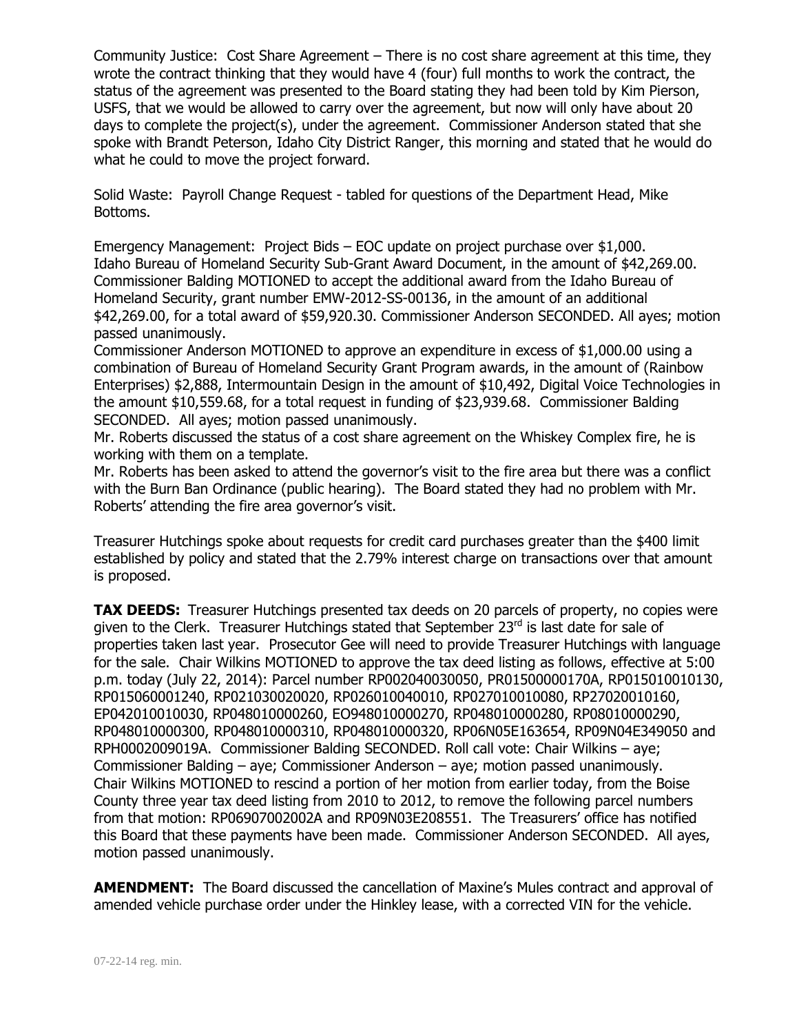Community Justice: Cost Share Agreement – There is no cost share agreement at this time, they wrote the contract thinking that they would have 4 (four) full months to work the contract, the status of the agreement was presented to the Board stating they had been told by Kim Pierson, USFS, that we would be allowed to carry over the agreement, but now will only have about 20 days to complete the project(s), under the agreement. Commissioner Anderson stated that she spoke with Brandt Peterson, Idaho City District Ranger, this morning and stated that he would do what he could to move the project forward.

Solid Waste: Payroll Change Request - tabled for questions of the Department Head, Mike Bottoms.

Emergency Management: Project Bids – EOC update on project purchase over \$1,000. Idaho Bureau of Homeland Security Sub-Grant Award Document, in the amount of \$42,269.00. Commissioner Balding MOTIONED to accept the additional award from the Idaho Bureau of Homeland Security, grant number EMW-2012-SS-00136, in the amount of an additional \$42,269.00, for a total award of \$59,920.30. Commissioner Anderson SECONDED. All ayes; motion passed unanimously.

Commissioner Anderson MOTIONED to approve an expenditure in excess of \$1,000.00 using a combination of Bureau of Homeland Security Grant Program awards, in the amount of (Rainbow Enterprises) \$2,888, Intermountain Design in the amount of \$10,492, Digital Voice Technologies in the amount \$10,559.68, for a total request in funding of \$23,939.68. Commissioner Balding SECONDED. All ayes; motion passed unanimously.

Mr. Roberts discussed the status of a cost share agreement on the Whiskey Complex fire, he is working with them on a template.

Mr. Roberts has been asked to attend the governor's visit to the fire area but there was a conflict with the Burn Ban Ordinance (public hearing). The Board stated they had no problem with Mr. Roberts' attending the fire area governor's visit.

Treasurer Hutchings spoke about requests for credit card purchases greater than the \$400 limit established by policy and stated that the 2.79% interest charge on transactions over that amount is proposed.

**TAX DEEDS:** Treasurer Hutchings presented tax deeds on 20 parcels of property, no copies were given to the Clerk. Treasurer Hutchings stated that September 23rd is last date for sale of properties taken last year. Prosecutor Gee will need to provide Treasurer Hutchings with language for the sale. Chair Wilkins MOTIONED to approve the tax deed listing as follows, effective at 5:00 p.m. today (July 22, 2014): Parcel number RP002040030050, PR01500000170A, RP015010010130, RP015060001240, RP021030020020, RP026010040010, RP027010010080, RP27020010160, EP042010010030, RP048010000260, EO948010000270, RP048010000280, RP08010000290, RP048010000300, RP048010000310, RP048010000320, RP06N05E163654, RP09N04E349050 and RPH0002009019A. Commissioner Balding SECONDED. Roll call vote: Chair Wilkins – aye; Commissioner Balding – aye; Commissioner Anderson – aye; motion passed unanimously. Chair Wilkins MOTIONED to rescind a portion of her motion from earlier today, from the Boise County three year tax deed listing from 2010 to 2012, to remove the following parcel numbers from that motion: RP06907002002A and RP09N03E208551. The Treasurers' office has notified this Board that these payments have been made. Commissioner Anderson SECONDED. All ayes, motion passed unanimously.

**AMENDMENT:** The Board discussed the cancellation of Maxine's Mules contract and approval of amended vehicle purchase order under the Hinkley lease, with a corrected VIN for the vehicle.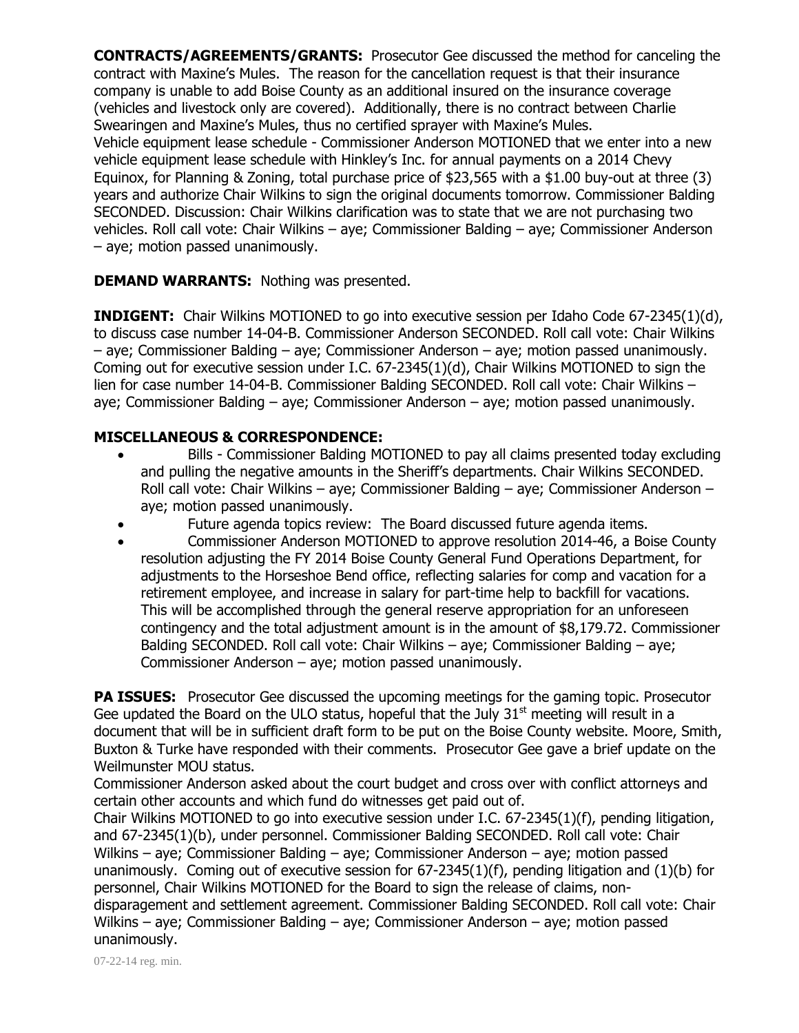**CONTRACTS/AGREEMENTS/GRANTS:** Prosecutor Gee discussed the method for canceling the contract with Maxine's Mules. The reason for the cancellation request is that their insurance company is unable to add Boise County as an additional insured on the insurance coverage (vehicles and livestock only are covered). Additionally, there is no contract between Charlie Swearingen and Maxine's Mules, thus no certified sprayer with Maxine's Mules. Vehicle equipment lease schedule - Commissioner Anderson MOTIONED that we enter into a new vehicle equipment lease schedule with Hinkley's Inc. for annual payments on a 2014 Chevy Equinox, for Planning & Zoning, total purchase price of \$23,565 with a \$1.00 buy-out at three (3) years and authorize Chair Wilkins to sign the original documents tomorrow. Commissioner Balding SECONDED. Discussion: Chair Wilkins clarification was to state that we are not purchasing two vehicles. Roll call vote: Chair Wilkins – aye; Commissioner Balding – aye; Commissioner Anderson – aye; motion passed unanimously.

## **DEMAND WARRANTS:** Nothing was presented.

**INDIGENT:** Chair Wilkins MOTIONED to go into executive session per Idaho Code 67-2345(1)(d), to discuss case number 14-04-B. Commissioner Anderson SECONDED. Roll call vote: Chair Wilkins – aye; Commissioner Balding – aye; Commissioner Anderson – aye; motion passed unanimously. Coming out for executive session under I.C. 67-2345(1)(d), Chair Wilkins MOTIONED to sign the lien for case number 14-04-B. Commissioner Balding SECONDED. Roll call vote: Chair Wilkins – aye; Commissioner Balding – aye; Commissioner Anderson – aye; motion passed unanimously.

## **MISCELLANEOUS & CORRESPONDENCE:**

- Bills Commissioner Balding MOTIONED to pay all claims presented today excluding and pulling the negative amounts in the Sheriff's departments. Chair Wilkins SECONDED. Roll call vote: Chair Wilkins – aye; Commissioner Balding – aye; Commissioner Anderson – aye; motion passed unanimously.
- Future agenda topics review: The Board discussed future agenda items.
- Commissioner Anderson MOTIONED to approve resolution 2014-46, a Boise County resolution adjusting the FY 2014 Boise County General Fund Operations Department, for adjustments to the Horseshoe Bend office, reflecting salaries for comp and vacation for a retirement employee, and increase in salary for part-time help to backfill for vacations. This will be accomplished through the general reserve appropriation for an unforeseen contingency and the total adjustment amount is in the amount of \$8,179.72. Commissioner Balding SECONDED. Roll call vote: Chair Wilkins – aye; Commissioner Balding – aye; Commissioner Anderson – aye; motion passed unanimously.

**PA ISSUES:** Prosecutor Gee discussed the upcoming meetings for the gaming topic. Prosecutor Gee updated the Board on the ULO status, hopeful that the July  $31<sup>st</sup>$  meeting will result in a document that will be in sufficient draft form to be put on the Boise County website. Moore, Smith, Buxton & Turke have responded with their comments. Prosecutor Gee gave a brief update on the Weilmunster MOU status.

Commissioner Anderson asked about the court budget and cross over with conflict attorneys and certain other accounts and which fund do witnesses get paid out of.

Chair Wilkins MOTIONED to go into executive session under I.C. 67-2345(1)(f), pending litigation, and 67-2345(1)(b), under personnel. Commissioner Balding SECONDED. Roll call vote: Chair Wilkins – aye; Commissioner Balding – aye; Commissioner Anderson – aye; motion passed unanimously. Coming out of executive session for 67-2345(1)(f), pending litigation and (1)(b) for personnel, Chair Wilkins MOTIONED for the Board to sign the release of claims, nondisparagement and settlement agreement. Commissioner Balding SECONDED. Roll call vote: Chair Wilkins – aye; Commissioner Balding – aye; Commissioner Anderson – aye; motion passed unanimously.